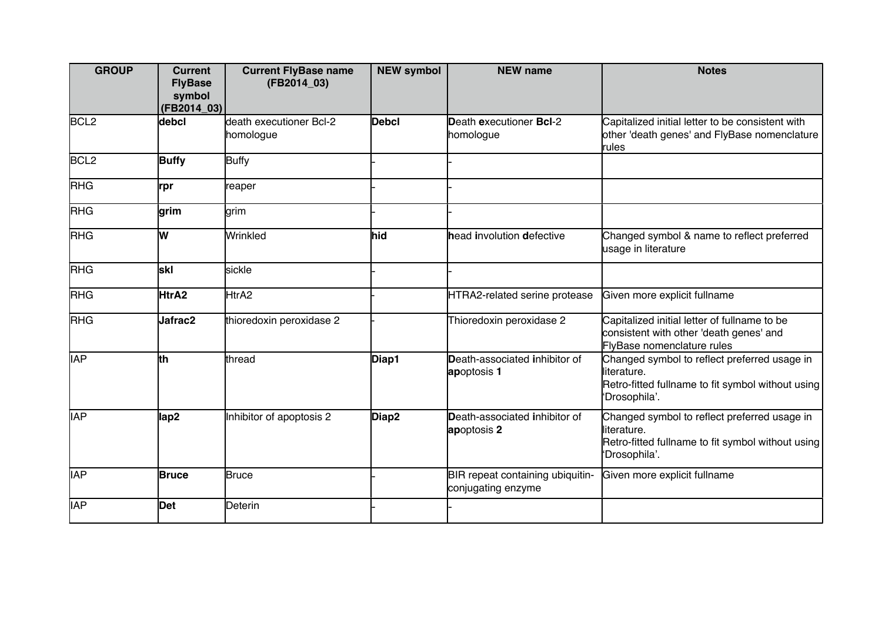| <b>GROUP</b>     | <b>Current</b><br><b>FlyBase</b><br>symbol<br>$(FB2014_03)$ | <b>Current FlyBase name</b><br>(FB2014_03) | <b>NEW symbol</b> | <b>NEW name</b>                                        | <b>Notes</b>                                                                                                                       |
|------------------|-------------------------------------------------------------|--------------------------------------------|-------------------|--------------------------------------------------------|------------------------------------------------------------------------------------------------------------------------------------|
| BCL <sub>2</sub> | debcl                                                       | death executioner Bcl-2<br>homologue       | Debcl             | Death executioner BcI-2<br>homologue                   | Capitalized initial letter to be consistent with<br>other 'death genes' and FlyBase nomenclature<br>rules                          |
| BCL <sub>2</sub> | <b>Buffy</b>                                                | <b>Buffy</b>                               |                   |                                                        |                                                                                                                                    |
| <b>RHG</b>       | lrpr                                                        | reaper                                     |                   |                                                        |                                                                                                                                    |
| <b>RHG</b>       | <u>lgrim</u>                                                | grim                                       |                   |                                                        |                                                                                                                                    |
| <b>RHG</b>       | lw                                                          | Wrinkled                                   | hid               | head involution defective                              | Changed symbol & name to reflect preferred<br>usage in literature                                                                  |
| <b>RHG</b>       | İskl                                                        | sickle                                     |                   |                                                        |                                                                                                                                    |
| <b>RHG</b>       | HtrA2                                                       | HtrA2                                      |                   | HTRA2-related serine protease                          | Given more explicit fullname                                                                                                       |
| <b>RHG</b>       | Jafrac2                                                     | thioredoxin peroxidase 2                   |                   | Thioredoxin peroxidase 2                               | Capitalized initial letter of fullname to be<br>consistent with other 'death genes' and<br>FlyBase nomenclature rules              |
| <b>IAP</b>       | ∤th                                                         | thread                                     | Diap1             | Death-associated inhibitor of<br>apoptosis 1           | Changed symbol to reflect preferred usage in<br>lliterature.<br>Retro-fitted fullname to fit symbol without using<br>'Drosophila'. |
| <b>IAP</b>       | lap2                                                        | Inhibitor of apoptosis 2                   | Diap2             | Death-associated inhibitor of<br>apoptosis 2           | Changed symbol to reflect preferred usage in<br>literature.<br>Retro-fitted fullname to fit symbol without using<br>'Drosophila'.  |
| <b>IAP</b>       | <b>Bruce</b>                                                | Bruce                                      |                   | BIR repeat containing ubiquitin-<br>conjugating enzyme | Given more explicit fullname                                                                                                       |
| <b>IAP</b>       | <b>Det</b>                                                  | Deterin                                    |                   |                                                        |                                                                                                                                    |